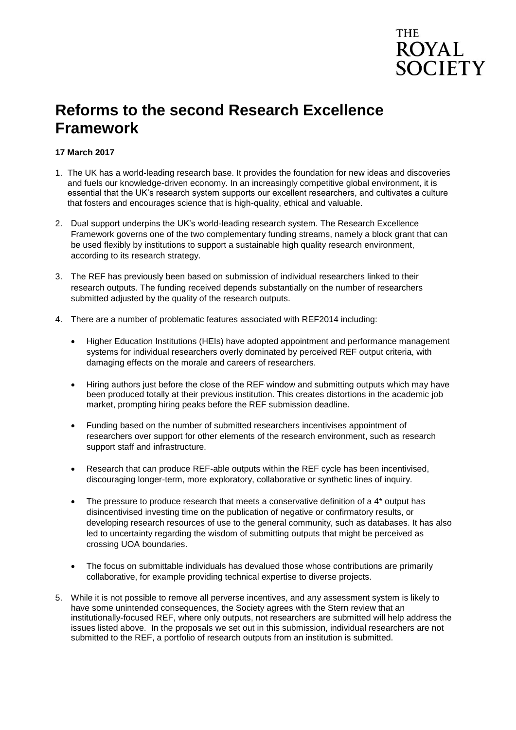## THE **ROYAL SOCIETY**

## **Reforms to the second Research Excellence Framework**

### **17 March 2017**

- 1. The UK has a world-leading research base. It provides the foundation for new ideas and discoveries and fuels our knowledge-driven economy. In an increasingly competitive global environment, it is essential that the UK's research system supports our excellent researchers, and cultivates a culture that fosters and encourages science that is high-quality, ethical and valuable.
- 2. Dual support underpins the UK's world-leading research system. The Research Excellence Framework governs one of the two complementary funding streams, namely a block grant that can be used flexibly by institutions to support a sustainable high quality research environment, according to its research strategy.
- 3. The REF has previously been based on submission of individual researchers linked to their research outputs. The funding received depends substantially on the number of researchers submitted adjusted by the quality of the research outputs.
- 4. There are a number of problematic features associated with REF2014 including:
	- Higher Education Institutions (HEIs) have adopted appointment and performance management systems for individual researchers overly dominated by perceived REF output criteria, with damaging effects on the morale and careers of researchers.
	- Hiring authors just before the close of the REF window and submitting outputs which may have been produced totally at their previous institution. This creates distortions in the academic job market, prompting hiring peaks before the REF submission deadline.
	- Funding based on the number of submitted researchers incentivises appointment of researchers over support for other elements of the research environment, such as research support staff and infrastructure.
	- Research that can produce REF-able outputs within the REF cycle has been incentivised, discouraging longer-term, more exploratory, collaborative or synthetic lines of inquiry.
	- $\bullet$  The pressure to produce research that meets a conservative definition of a 4<sup>\*</sup> output has disincentivised investing time on the publication of negative or confirmatory results, or developing research resources of use to the general community, such as databases. It has also led to uncertainty regarding the wisdom of submitting outputs that might be perceived as crossing UOA boundaries.
	- The focus on submittable individuals has devalued those whose contributions are primarily collaborative, for example providing technical expertise to diverse projects.
- 5. While it is not possible to remove all perverse incentives, and any assessment system is likely to have some unintended consequences, the Society agrees with the Stern review that an institutionally-focused REF, where only outputs, not researchers are submitted will help address the issues listed above. In the proposals we set out in this submission, individual researchers are not submitted to the REF, a portfolio of research outputs from an institution is submitted.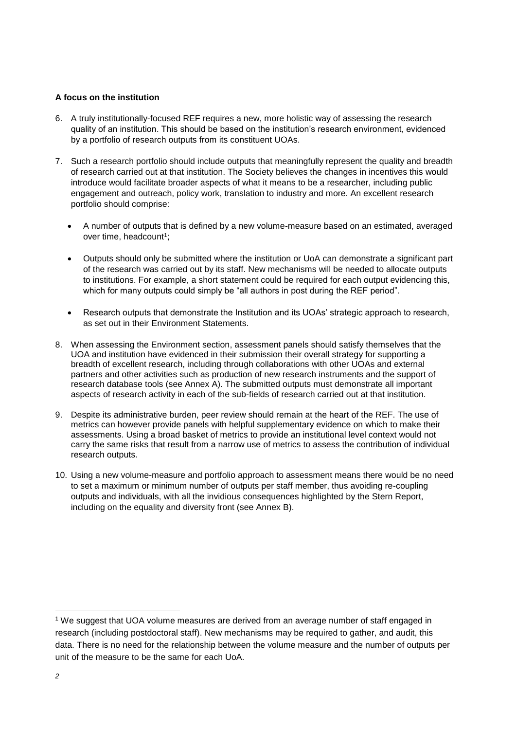### **A focus on the institution**

- 6. A truly institutionally-focused REF requires a new, more holistic way of assessing the research quality of an institution. This should be based on the institution's research environment, evidenced by a portfolio of research outputs from its constituent UOAs.
- 7. Such a research portfolio should include outputs that meaningfully represent the quality and breadth of research carried out at that institution. The Society believes the changes in incentives this would introduce would facilitate broader aspects of what it means to be a researcher, including public engagement and outreach, policy work, translation to industry and more. An excellent research portfolio should comprise:
	- A number of outputs that is defined by a new volume-measure based on an estimated, averaged over time, headcount<sup>1</sup>;
	- Outputs should only be submitted where the institution or UoA can demonstrate a significant part of the research was carried out by its staff. New mechanisms will be needed to allocate outputs to institutions. For example, a short statement could be required for each output evidencing this, which for many outputs could simply be "all authors in post during the REF period".
	- Research outputs that demonstrate the Institution and its UOAs' strategic approach to research, as set out in their Environment Statements.
- 8. When assessing the Environment section, assessment panels should satisfy themselves that the UOA and institution have evidenced in their submission their overall strategy for supporting a breadth of excellent research, including through collaborations with other UOAs and external partners and other activities such as production of new research instruments and the support of research database tools (see Annex A). The submitted outputs must demonstrate all important aspects of research activity in each of the sub-fields of research carried out at that institution.
- 9. Despite its administrative burden, peer review should remain at the heart of the REF. The use of metrics can however provide panels with helpful supplementary evidence on which to make their assessments. Using a broad basket of metrics to provide an institutional level context would not carry the same risks that result from a narrow use of metrics to assess the contribution of individual research outputs.
- 10. Using a new volume-measure and portfolio approach to assessment means there would be no need to set a maximum or minimum number of outputs per staff member, thus avoiding re-coupling outputs and individuals, with all the invidious consequences highlighted by the Stern Report, including on the equality and diversity front (see Annex B).

l

<sup>1</sup> We suggest that UOA volume measures are derived from an average number of staff engaged in research (including postdoctoral staff). New mechanisms may be required to gather, and audit, this data. There is no need for the relationship between the volume measure and the number of outputs per unit of the measure to be the same for each UoA.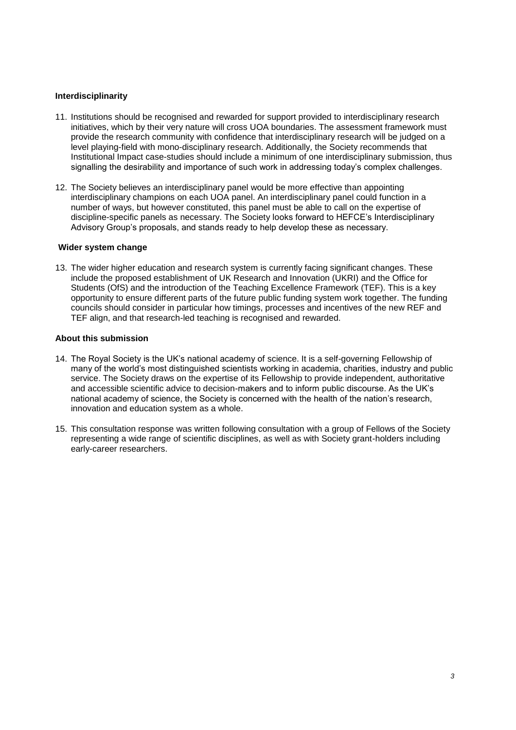### **Interdisciplinarity**

- 11. Institutions should be recognised and rewarded for support provided to interdisciplinary research initiatives, which by their very nature will cross UOA boundaries. The assessment framework must provide the research community with confidence that interdisciplinary research will be judged on a level playing-field with mono-disciplinary research. Additionally, the Society recommends that Institutional Impact case-studies should include a minimum of one interdisciplinary submission, thus signalling the desirability and importance of such work in addressing today's complex challenges.
- 12. The Society believes an interdisciplinary panel would be more effective than appointing interdisciplinary champions on each UOA panel. An interdisciplinary panel could function in a number of ways, but however constituted, this panel must be able to call on the expertise of discipline-specific panels as necessary. The Society looks forward to HEFCE's Interdisciplinary Advisory Group's proposals, and stands ready to help develop these as necessary.

#### **Wider system change**

13. The wider higher education and research system is currently facing significant changes. These include the proposed establishment of UK Research and Innovation (UKRI) and the Office for Students (OfS) and the introduction of the Teaching Excellence Framework (TEF). This is a key opportunity to ensure different parts of the future public funding system work together. The funding councils should consider in particular how timings, processes and incentives of the new REF and TEF align, and that research-led teaching is recognised and rewarded.

### **About this submission**

- 14. The Royal Society is the UK's national academy of science. It is a self-governing Fellowship of many of the world's most distinguished scientists working in academia, charities, industry and public service. The Society draws on the expertise of its Fellowship to provide independent, authoritative and accessible scientific advice to decision-makers and to inform public discourse. As the UK's national academy of science, the Society is concerned with the health of the nation's research, innovation and education system as a whole.
- 15. This consultation response was written following consultation with a group of Fellows of the Society representing a wide range of scientific disciplines, as well as with Society grant-holders including early-career researchers.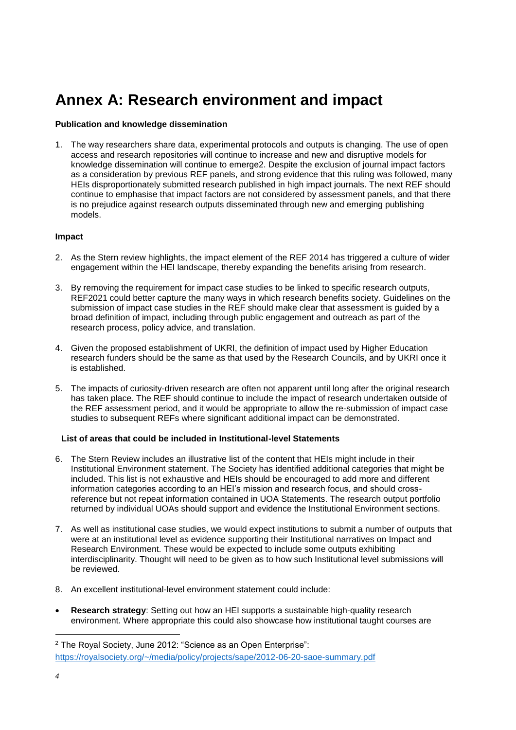# **Annex A: Research environment and impact**

### **Publication and knowledge dissemination**

1. The way researchers share data, experimental protocols and outputs is changing. The use of open access and research repositories will continue to increase and new and disruptive models for knowledge dissemination will continue to emerge2. Despite the exclusion of journal impact factors as a consideration by previous REF panels, and strong evidence that this ruling was followed, many HEIs disproportionately submitted research published in high impact journals. The next REF should continue to emphasise that impact factors are not considered by assessment panels, and that there is no prejudice against research outputs disseminated through new and emerging publishing models.

### **Impact**

- 2. As the Stern review highlights, the impact element of the REF 2014 has triggered a culture of wider engagement within the HEI landscape, thereby expanding the benefits arising from research.
- 3. By removing the requirement for impact case studies to be linked to specific research outputs, REF2021 could better capture the many ways in which research benefits society. Guidelines on the submission of impact case studies in the REF should make clear that assessment is guided by a broad definition of impact, including through public engagement and outreach as part of the research process, policy advice, and translation.
- 4. Given the proposed establishment of UKRI, the definition of impact used by Higher Education research funders should be the same as that used by the Research Councils, and by UKRI once it is established.
- 5. The impacts of curiosity-driven research are often not apparent until long after the original research has taken place. The REF should continue to include the impact of research undertaken outside of the REF assessment period, and it would be appropriate to allow the re-submission of impact case studies to subsequent REFs where significant additional impact can be demonstrated.

### **List of areas that could be included in Institutional-level Statements**

- 6. The Stern Review includes an illustrative list of the content that HEIs might include in their Institutional Environment statement. The Society has identified additional categories that might be included. This list is not exhaustive and HEIs should be encouraged to add more and different information categories according to an HEI's mission and research focus, and should crossreference but not repeat information contained in UOA Statements. The research output portfolio returned by individual UOAs should support and evidence the Institutional Environment sections.
- 7. As well as institutional case studies, we would expect institutions to submit a number of outputs that were at an institutional level as evidence supporting their Institutional narratives on Impact and Research Environment. These would be expected to include some outputs exhibiting interdisciplinarity. Thought will need to be given as to how such Institutional level submissions will be reviewed.
- 8. An excellent institutional-level environment statement could include:
- **Research strategy**: Setting out how an HEI supports a sustainable high-quality research environment. Where appropriate this could also showcase how institutional taught courses are

l

<sup>2</sup> The Royal Society, June 2012: "Science as an Open Enterprise": <https://royalsociety.org/~/media/policy/projects/sape/2012-06-20-saoe-summary.pdf>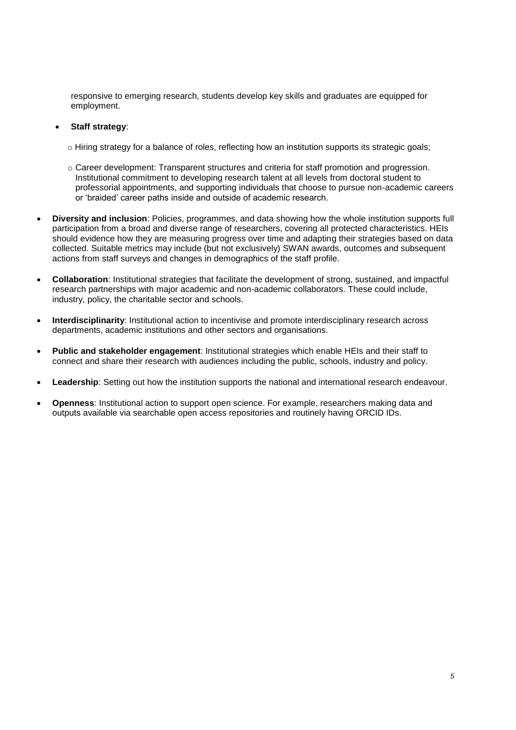responsive to emerging research, students develop key skills and graduates are equipped for employment.

### **Staff strategy**:

- o Hiring strategy for a balance of roles, reflecting how an institution supports its strategic goals;
- o Career development: Transparent structures and criteria for staff promotion and progression. Institutional commitment to developing research talent at all levels from doctoral student to professorial appointments, and supporting individuals that choose to pursue non-academic careers or 'braided' career paths inside and outside of academic research.
- **Diversity and inclusion**: Policies, programmes, and data showing how the whole institution supports full participation from a broad and diverse range of researchers, covering all protected characteristics. HEIs should evidence how they are measuring progress over time and adapting their strategies based on data collected. Suitable metrics may include (but not exclusively) SWAN awards, outcomes and subsequent actions from staff surveys and changes in demographics of the staff profile.
- **Collaboration**: Institutional strategies that facilitate the development of strong, sustained, and impactful research partnerships with major academic and non-academic collaborators. These could include, industry, policy, the charitable sector and schools.
- **Interdisciplinarity**: Institutional action to incentivise and promote interdisciplinary research across departments, academic institutions and other sectors and organisations.
- **Public and stakeholder engagement**: Institutional strategies which enable HEIs and their staff to connect and share their research with audiences including the public, schools, industry and policy.
- **Leadership**: Setting out how the institution supports the national and international research endeavour.
- **Openness**: Institutional action to support open science. For example, researchers making data and outputs available via searchable open access repositories and routinely having ORCID IDs.